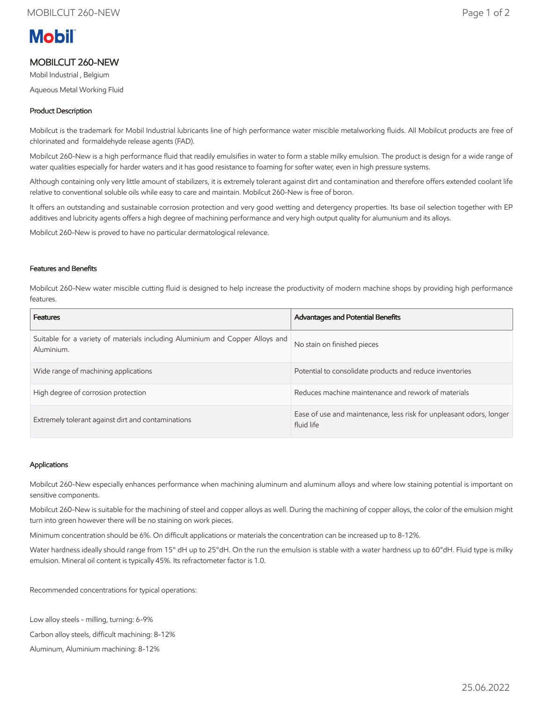# **Mobil**

## MOBILCUT 260-NEW

Mobil Industrial , Belgium

Aqueous Metal Working Fluid

### Product Description

Mobilcut is the trademark for Mobil Industrial lubricants line of high performance water miscible metalworking fluids. All Mobilcut products are free of chlorinated and formaldehyde release agents (FAD).

Mobilcut 260-New is a high performance fluid that readily emulsifies in water to form a stable milky emulsion. The product is design for a wide range of water qualities especially for harder waters and it has good resistance to foaming for softer water, even in high pressure systems.

Although containing only very little amount of stabilizers, it is extremely tolerant against dirt and contamination and therefore offers extended coolant life relative to conventional soluble oils while easy to care and maintain. Mobilcut 260-New is free of boron.

It offers an outstanding and sustainable corrosion protection and very good wetting and detergency properties. Its base oil selection together with EP additives and lubricity agents offers a high degree of machining performance and very high output quality for alumunium and its alloys.

Mobilcut 260-New is proved to have no particular dermatological relevance.

#### Features and Benefits

Mobilcut 260-New water miscible cutting fluid is designed to help increase the productivity of modern machine shops by providing high performance features.

| <b>Features</b>                                                                             | <b>Advantages and Potential Benefits</b>                                          |
|---------------------------------------------------------------------------------------------|-----------------------------------------------------------------------------------|
| Suitable for a variety of materials including Aluminium and Copper Alloys and<br>Aluminium. | No stain on finished pieces                                                       |
| Wide range of machining applications                                                        | Potential to consolidate products and reduce inventories                          |
| High degree of corrosion protection                                                         | Reduces machine maintenance and rework of materials                               |
| Extremely tolerant against dirt and contaminations                                          | Ease of use and maintenance, less risk for unpleasant odors, longer<br>fluid life |

#### Applications

Mobilcut 260-New especially enhances performance when machining aluminum and aluminum alloys and where low staining potential is important on sensitive components.

Mobilcut 260-New is suitable for the machining of steel and copper alloys as well. During the machining of copper alloys, the color of the emulsion might turn into green however there will be no staining on work pieces.

Minimum concentration should be 6%. On difficult applications or materials the concentration can be increased up to 8-12%.

Water hardness ideally should range from 15° dH up to 25°dH. On the run the emulsion is stable with a water hardness up to 60°dH. Fluid type is milky emulsion. Mineral oil content is typically 45%. Its refractometer factor is 1.0.

Recommended concentrations for typical operations:

Low alloy steels - milling, turning: 6-9%

Carbon alloy steels, difficult machining: 8-12%

Aluminum, Aluminium machining: 8-12%